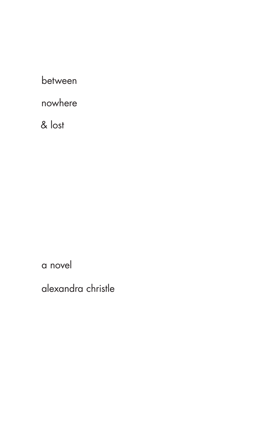between

nowhere

& lost

a novel

alexandra christle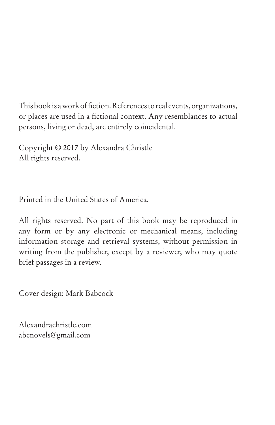This book is a work of fiction. References to real events, organizations, or places are used in a fictional context. Any resemblances to actual persons, living or dead, are entirely coincidental.

Copyright © 2017 by Alexandra Christle All rights reserved.

Printed in the United States of America.

All rights reserved. No part of this book may be reproduced in any form or by any electronic or mechanical means, including information storage and retrieval systems, without permission in writing from the publisher, except by a reviewer, who may quote brief passages in a review.

Cover design: Mark Babcock

Alexandrachristle.com abcnovels@gmail.com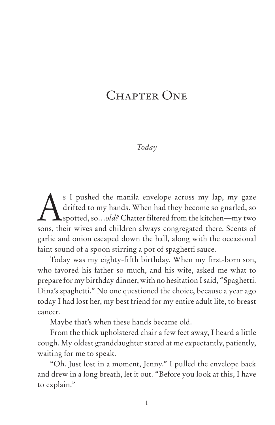# CHAPTER ONE

### *Today*

S I pushed the manila envelope across my lap, my gaze<br>drifted to my hands. When had they become so gnarled, so<br>spotted, so...old? Chatter filtered from the kitchen—my two drifted to my hands. When had they become so gnarled, so **A**spotted, so...old? Chatter filtered from the kitchen—my two sons, their wives and children always congregated there. Scents of garlic and onion escaped down the hall, along with the occasional faint sound of a spoon stirring a pot of spaghetti sauce.

Today was my eighty-fifth birthday. When my first-born son, who favored his father so much, and his wife, asked me what to prepare for my birthday dinner, with no hesitation I said, "Spaghetti. Dina's spaghetti." No one questioned the choice, because a year ago today I had lost her, my best friend for my entire adult life, to breast cancer.

Maybe that's when these hands became old.

From the thick upholstered chair a few feet away, I heard a little cough. My oldest granddaughter stared at me expectantly, patiently, waiting for me to speak.

"Oh. Just lost in a moment, Jenny." I pulled the envelope back and drew in a long breath, let it out. "Before you look at this, I have to explain."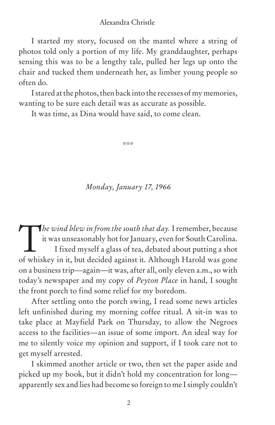I started my story, focused on the mantel where a string of photos told only a portion of my life. My granddaughter, perhaps sensing this was to be a lengthy tale, pulled her legs up onto the chair and tucked them underneath her, as limber young people so often do.

I stared at the photos, then back into the recesses of my memories, wanting to be sure each detail was as accurate as possible.

It was time, as Dina would have said, to come clean.

\*\*\*

### *Monday, January 17, 1966*

The wind blew in from the south that day. I remember, because<br>it was unseasonably hot for January, even for South Carolina.<br>I fixed myself a glass of tea, debated about putting a shot it was unseasonably hot for January, even for South Carolina. I fixed myself a glass of tea, debated about putting a shot of whiskey in it, but decided against it. Although Harold was gone on a business trip—again—it was, after all, only eleven a.m., so with today's newspaper and my copy of *Peyton Place* in hand*,* I sought the front porch to find some relief for my boredom.

After settling onto the porch swing, I read some news articles left unfinished during my morning coffee ritual. A sit-in was to take place at Mayfield Park on Thursday, to allow the Negroes access to the facilities—an issue of some import. An ideal way for me to silently voice my opinion and support, if I took care not to get myself arrested.

I skimmed another article or two, then set the paper aside and picked up my book, but it didn't hold my concentration for long apparently sex and lies had become so foreign to me I simply couldn't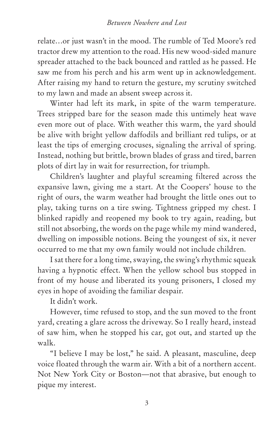relate…or just wasn't in the mood. The rumble of Ted Moore's red tractor drew my attention to the road. His new wood-sided manure spreader attached to the back bounced and rattled as he passed. He saw me from his perch and his arm went up in acknowledgement. After raising my hand to return the gesture, my scrutiny switched to my lawn and made an absent sweep across it.

Winter had left its mark, in spite of the warm temperature. Trees stripped bare for the season made this untimely heat wave even more out of place. With weather this warm, the yard should be alive with bright yellow daffodils and brilliant red tulips, or at least the tips of emerging crocuses, signaling the arrival of spring. Instead, nothing but brittle, brown blades of grass and tired, barren plots of dirt lay in wait for resurrection, for triumph.

Children's laughter and playful screaming filtered across the expansive lawn, giving me a start. At the Coopers' house to the right of ours, the warm weather had brought the little ones out to play, taking turns on a tire swing. Tightness gripped my chest. I blinked rapidly and reopened my book to try again, reading, but still not absorbing, the words on the page while my mind wandered, dwelling on impossible notions. Being the youngest of six, it never occurred to me that my own family would not include children.

I sat there for a long time, swaying, the swing's rhythmic squeak having a hypnotic effect. When the yellow school bus stopped in front of my house and liberated its young prisoners, I closed my eyes in hope of avoiding the familiar despair.

It didn't work.

However, time refused to stop, and the sun moved to the front yard, creating a glare across the driveway. So I really heard, instead of saw him, when he stopped his car, got out, and started up the walk.

"I believe I may be lost," he said. A pleasant, masculine, deep voice floated through the warm air. With a bit of a northern accent. Not New York City or Boston—not that abrasive, but enough to pique my interest.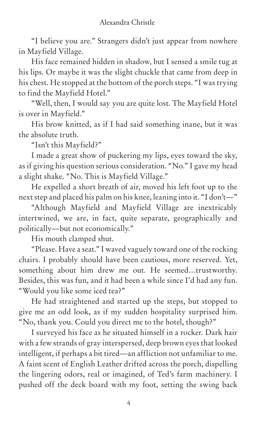"I believe you are." Strangers didn't just appear from nowhere in Mayfield Village.

His face remained hidden in shadow, but I sensed a smile tug at his lips. Or maybe it was the slight chuckle that came from deep in his chest. He stopped at the bottom of the porch steps. "I was trying to find the Mayfield Hotel."

"Well, then, I would say you are quite lost. The Mayfield Hotel is over in Mayfield."

His brow knitted, as if I had said something inane, but it was the absolute truth.

"Isn't this Mayfield?"

I made a great show of puckering my lips, eyes toward the sky, as if giving his question serious consideration. "No." I gave my head a slight shake. "No. This is Mayfield Village."

He expelled a short breath of air, moved his left foot up to the next step and placed his palm on his knee, leaning into it. "I don't—"

"Although Mayfield and Mayfield Village are inextricably intertwined, we are, in fact, quite separate, geographically and politically—but not economically."

His mouth clamped shut.

"Please. Have a seat." I waved vaguely toward one of the rocking chairs. I probably should have been cautious, more reserved. Yet, something about him drew me out. He seemed…trustworthy. Besides, this was fun, and it had been a while since I'd had any fun. "Would you like some iced tea?"

He had straightened and started up the steps, but stopped to give me an odd look, as if my sudden hospitality surprised him. "No, thank you. Could you direct me to the hotel, though?"

I surveyed his face as he situated himself in a rocker. Dark hair with a few strands of gray interspersed, deep brown eyes that looked intelligent, if perhaps a bit tired—an affliction not unfamiliar to me. A faint scent of English Leather drifted across the porch, dispelling the lingering odors, real or imagined, of Ted's farm machinery. I pushed off the deck board with my foot, setting the swing back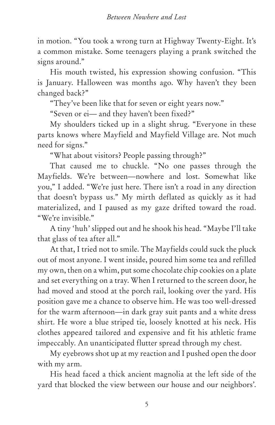in motion. "You took a wrong turn at Highway Twenty-Eight. It's a common mistake. Some teenagers playing a prank switched the signs around."

His mouth twisted, his expression showing confusion. "This is January. Halloween was months ago. Why haven't they been changed back?"

"They've been like that for seven or eight years now."

"Seven or ei— and they haven't been fixed?"

My shoulders ticked up in a slight shrug. "Everyone in these parts knows where Mayfield and Mayfield Village are. Not much need for signs."

"What about visitors? People passing through?"

That caused me to chuckle. "No one passes through the Mayfields. We're between—nowhere and lost. Somewhat like you," I added. "We're just here. There isn't a road in any direction that doesn't bypass us." My mirth deflated as quickly as it had materialized, and I paused as my gaze drifted toward the road. "We're invisible."

A tiny 'huh' slipped out and he shook his head. "Maybe I'll take that glass of tea after all."

At that, I tried not to smile. The Mayfields could suck the pluck out of most anyone. I went inside, poured him some tea and refilled my own, then on a whim, put some chocolate chip cookies on a plate and set everything on a tray. When I returned to the screen door, he had moved and stood at the porch rail, looking over the yard. His position gave me a chance to observe him. He was too well-dressed for the warm afternoon—in dark gray suit pants and a white dress shirt. He wore a blue striped tie, loosely knotted at his neck. His clothes appeared tailored and expensive and fit his athletic frame impeccably. An unanticipated flutter spread through my chest.

My eyebrows shot up at my reaction and I pushed open the door with my arm.

His head faced a thick ancient magnolia at the left side of the yard that blocked the view between our house and our neighbors'.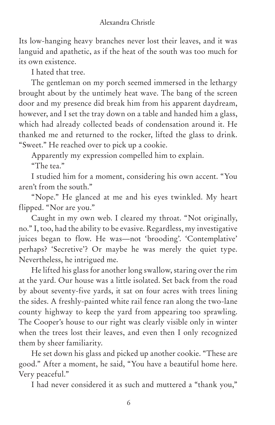Its low-hanging heavy branches never lost their leaves, and it was languid and apathetic, as if the heat of the south was too much for its own existence.

I hated that tree.

The gentleman on my porch seemed immersed in the lethargy brought about by the untimely heat wave. The bang of the screen door and my presence did break him from his apparent daydream, however, and I set the tray down on a table and handed him a glass, which had already collected beads of condensation around it. He thanked me and returned to the rocker, lifted the glass to drink. "Sweet." He reached over to pick up a cookie.

Apparently my expression compelled him to explain.

"The tea."

I studied him for a moment, considering his own accent. "You aren't from the south."

"Nope." He glanced at me and his eyes twinkled. My heart flipped. "Nor are you."

Caught in my own web. I cleared my throat. "Not originally, no." I, too, had the ability to be evasive. Regardless, my investigative juices began to flow. He was—not 'brooding'. 'Contemplative' perhaps? 'Secretive'? Or maybe he was merely the quiet type. Nevertheless, he intrigued me.

He lifted his glass for another long swallow, staring over the rim at the yard. Our house was a little isolated. Set back from the road by about seventy-five yards, it sat on four acres with trees lining the sides. A freshly-painted white rail fence ran along the two-lane county highway to keep the yard from appearing too sprawling. The Cooper's house to our right was clearly visible only in winter when the trees lost their leaves, and even then I only recognized them by sheer familiarity.

He set down his glass and picked up another cookie. "These are good." After a moment, he said, "You have a beautiful home here. Very peaceful."

I had never considered it as such and muttered a "thank you,"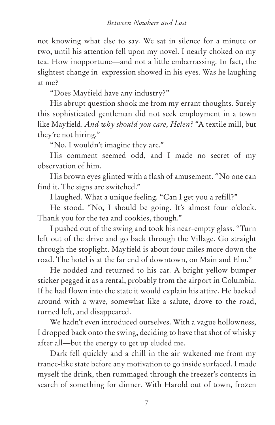not knowing what else to say. We sat in silence for a minute or two, until his attention fell upon my novel. I nearly choked on my tea. How inopportune—and not a little embarrassing. In fact, the slightest change in expression showed in his eyes. Was he laughing at me?

"Does Mayfield have any industry?"

His abrupt question shook me from my errant thoughts. Surely this sophisticated gentleman did not seek employment in a town like Mayfield. *And why should you care, Helen?* "A textile mill, but they're not hiring."

"No. I wouldn't imagine they are."

His comment seemed odd, and I made no secret of my observation of him.

His brown eyes glinted with a flash of amusement. "No one can find it. The signs are switched."

I laughed. What a unique feeling. "Can I get you a refill?"

He stood. "No, I should be going. It's almost four o'clock. Thank you for the tea and cookies, though."

I pushed out of the swing and took his near-empty glass. "Turn left out of the drive and go back through the Village. Go straight through the stoplight. Mayfield is about four miles more down the road. The hotel is at the far end of downtown, on Main and Elm."

He nodded and returned to his car. A bright yellow bumper sticker pegged it as a rental, probably from the airport in Columbia. If he had flown into the state it would explain his attire. He backed around with a wave, somewhat like a salute, drove to the road, turned left, and disappeared.

We hadn't even introduced ourselves. With a vague hollowness, I dropped back onto the swing, deciding to have that shot of whisky after all—but the energy to get up eluded me.

Dark fell quickly and a chill in the air wakened me from my trance-like state before any motivation to go inside surfaced. I made myself the drink, then rummaged through the freezer's contents in search of something for dinner. With Harold out of town, frozen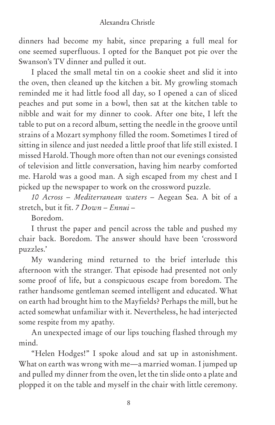dinners had become my habit, since preparing a full meal for one seemed superfluous. I opted for the Banquet pot pie over the Swanson's TV dinner and pulled it out.

I placed the small metal tin on a cookie sheet and slid it into the oven, then cleaned up the kitchen a bit. My growling stomach reminded me it had little food all day, so I opened a can of sliced peaches and put some in a bowl, then sat at the kitchen table to nibble and wait for my dinner to cook. After one bite, I left the table to put on a record album, setting the needle in the groove until strains of a Mozart symphony filled the room. Sometimes I tired of sitting in silence and just needed a little proof that life still existed. I missed Harold. Though more often than not our evenings consisted of television and little conversation, having him nearby comforted me. Harold was a good man. A sigh escaped from my chest and I picked up the newspaper to work on the crossword puzzle.

*10 Across – Mediterranean waters –* Aegean Sea. A bit of a stretch, but it fit. *7 Down – Ennui –*

Boredom.

I thrust the paper and pencil across the table and pushed my chair back. Boredom. The answer should have been 'crossword puzzles.'

My wandering mind returned to the brief interlude this afternoon with the stranger. That episode had presented not only some proof of life, but a conspicuous escape from boredom. The rather handsome gentleman seemed intelligent and educated. What on earth had brought him to the Mayfields? Perhaps the mill, but he acted somewhat unfamiliar with it. Nevertheless, he had interjected some respite from my apathy.

An unexpected image of our lips touching flashed through my mind.

"Helen Hodges!" I spoke aloud and sat up in astonishment. What on earth was wrong with me—a married woman. I jumped up and pulled my dinner from the oven, let the tin slide onto a plate and plopped it on the table and myself in the chair with little ceremony.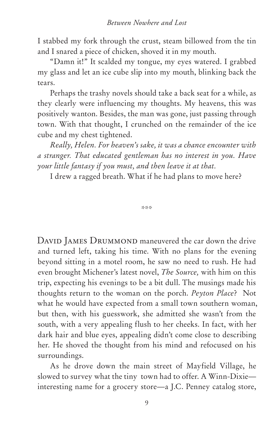I stabbed my fork through the crust, steam billowed from the tin and I snared a piece of chicken, shoved it in my mouth.

"Damn it!" It scalded my tongue, my eyes watered. I grabbed my glass and let an ice cube slip into my mouth, blinking back the tears.

Perhaps the trashy novels should take a back seat for a while, as they clearly were influencing my thoughts. My heavens, this was positively wanton. Besides, the man was gone, just passing through town. With that thought, I crunched on the remainder of the ice cube and my chest tightened.

*Really, Helen. For heaven's sake, it was a chance encounter with a stranger. That educated gentleman has no interest in you. Have your little fantasy if you must, and then leave it at that.*

I drew a ragged breath. What if he had plans to move here?

\*\*\*

DAVID JAMES DRUMMOND maneuvered the car down the drive and turned left, taking his time. With no plans for the evening beyond sitting in a motel room, he saw no need to rush. He had even brought Michener's latest novel, *The Source,* with him on this trip, expecting his evenings to be a bit dull. The musings made his thoughts return to the woman on the porch. *Peyton Place*? Not what he would have expected from a small town southern woman, but then, with his guesswork, she admitted she wasn't from the south, with a very appealing flush to her cheeks. In fact, with her dark hair and blue eyes, appealing didn't come close to describing her. He shoved the thought from his mind and refocused on his surroundings.

As he drove down the main street of Mayfield Village, he slowed to survey what the tiny town had to offer. A Winn-Dixie interesting name for a grocery store—a J.C. Penney catalog store,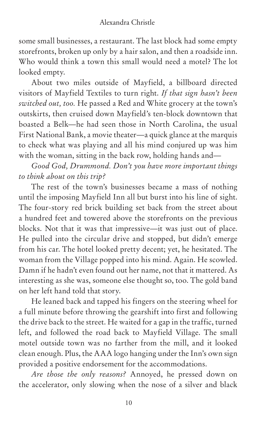some small businesses, a restaurant. The last block had some empty storefronts, broken up only by a hair salon, and then a roadside inn. Who would think a town this small would need a motel? The lot looked empty.

About two miles outside of Mayfield, a billboard directed visitors of Mayfield Textiles to turn right. *If that sign hasn't been switched out, too.* He passed a Red and White grocery at the town's outskirts, then cruised down Mayfield's ten-block downtown that boasted a Belk—he had seen those in North Carolina, the usual First National Bank, a movie theater—a quick glance at the marquis to check what was playing and all his mind conjured up was him with the woman, sitting in the back row, holding hands and—

*Good God, Drummond. Don't you have more important things to think about on this trip?*

The rest of the town's businesses became a mass of nothing until the imposing Mayfield Inn all but burst into his line of sight. The four-story red brick building set back from the street about a hundred feet and towered above the storefronts on the previous blocks. Not that it was that impressive—it was just out of place. He pulled into the circular drive and stopped, but didn't emerge from his car. The hotel looked pretty decent; yet, he hesitated. The woman from the Village popped into his mind. Again. He scowled. Damn if he hadn't even found out her name, not that it mattered. As interesting as she was, someone else thought so, too. The gold band on her left hand told that story.

He leaned back and tapped his fingers on the steering wheel for a full minute before throwing the gearshift into first and following the drive back to the street. He waited for a gap in the traffic, turned left, and followed the road back to Mayfield Village. The small motel outside town was no farther from the mill, and it looked clean enough. Plus, the AAA logo hanging under the Inn's own sign provided a positive endorsement for the accommodations.

*Are those the only reasons?* Annoyed, he pressed down on the accelerator, only slowing when the nose of a silver and black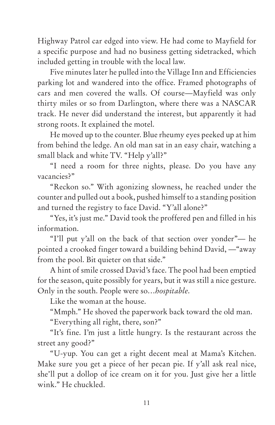Highway Patrol car edged into view. He had come to Mayfield for a specific purpose and had no business getting sidetracked, which included getting in trouble with the local law.

Five minutes later he pulled into the Village Inn and Efficiencies parking lot and wandered into the office. Framed photographs of cars and men covered the walls. Of course—Mayfield was only thirty miles or so from Darlington, where there was a NASCAR track. He never did understand the interest, but apparently it had strong roots. It explained the motel.

He moved up to the counter. Blue rheumy eyes peeked up at him from behind the ledge. An old man sat in an easy chair, watching a small black and white TV. "Help y'all?"

"I need a room for three nights, please. Do you have any vacancies?"

"Reckon so." With agonizing slowness, he reached under the counter and pulled out a book, pushed himself to a standing position and turned the registry to face David. "Y'all alone?"

"Yes, it's just me." David took the proffered pen and filled in his information.

"I'll put y'all on the back of that section over yonder"— he pointed a crooked finger toward a building behind David, —"away from the pool. Bit quieter on that side."

A hint of smile crossed David's face. The pool had been emptied for the season, quite possibly for years, but it was still a nice gesture. Only in the south. People were so…*hospitable*.

Like the woman at the house.

"Mmph." He shoved the paperwork back toward the old man.

"Everything all right, there, son?"

"It's fine. I'm just a little hungry. Is the restaurant across the street any good?"

"U-yup. You can get a right decent meal at Mama's Kitchen. Make sure you get a piece of her pecan pie. If y'all ask real nice, she'll put a dollop of ice cream on it for you. Just give her a little wink." He chuckled.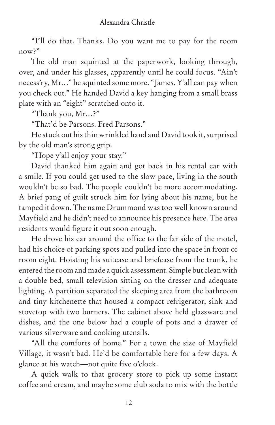"I'll do that. Thanks. Do you want me to pay for the room now?"

The old man squinted at the paperwork, looking through, over, and under his glasses, apparently until he could focus. "Ain't necess'ry, Mr…" he squinted some more. "James. Y'all can pay when you check out." He handed David a key hanging from a small brass plate with an "eight" scratched onto it.

"Thank you, Mr…?"

"That'd be Parsons. Fred Parsons."

He stuck out his thin wrinkled hand and David took it, surprised by the old man's strong grip.

"Hope y'all enjoy your stay."

David thanked him again and got back in his rental car with a smile. If you could get used to the slow pace, living in the south wouldn't be so bad. The people couldn't be more accommodating. A brief pang of guilt struck him for lying about his name, but he tamped it down. The name Drummond was too well known around Mayfield and he didn't need to announce his presence here. The area residents would figure it out soon enough.

He drove his car around the office to the far side of the motel, had his choice of parking spots and pulled into the space in front of room eight. Hoisting his suitcase and briefcase from the trunk, he entered the room and made a quick assessment. Simple but clean with a double bed, small television sitting on the dresser and adequate lighting. A partition separated the sleeping area from the bathroom and tiny kitchenette that housed a compact refrigerator, sink and stovetop with two burners. The cabinet above held glassware and dishes, and the one below had a couple of pots and a drawer of various silverware and cooking utensils.

"All the comforts of home." For a town the size of Mayfield Village, it wasn't bad. He'd be comfortable here for a few days. A glance at his watch—not quite five o'clock.

A quick walk to that grocery store to pick up some instant coffee and cream, and maybe some club soda to mix with the bottle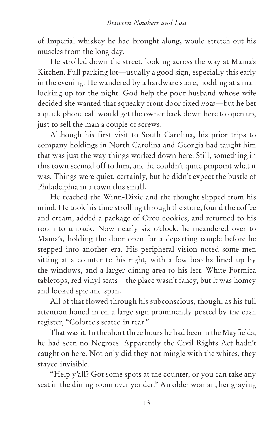of Imperial whiskey he had brought along, would stretch out his muscles from the long day.

He strolled down the street, looking across the way at Mama's Kitchen. Full parking lot—usually a good sign, especially this early in the evening. He wandered by a hardware store, nodding at a man locking up for the night. God help the poor husband whose wife decided she wanted that squeaky front door fixed *now*—but he bet a quick phone call would get the owner back down here to open up, just to sell the man a couple of screws.

Although his first visit to South Carolina, his prior trips to company holdings in North Carolina and Georgia had taught him that was just the way things worked down here. Still, something in this town seemed off to him, and he couldn't quite pinpoint what it was. Things were quiet, certainly, but he didn't expect the bustle of Philadelphia in a town this small.

He reached the Winn-Dixie and the thought slipped from his mind. He took his time strolling through the store, found the coffee and cream, added a package of Oreo cookies, and returned to his room to unpack. Now nearly six o'clock, he meandered over to Mama's, holding the door open for a departing couple before he stepped into another era. His peripheral vision noted some men sitting at a counter to his right, with a few booths lined up by the windows, and a larger dining area to his left. White Formica tabletops, red vinyl seats—the place wasn't fancy, but it was homey and looked spic and span.

All of that flowed through his subconscious, though, as his full attention honed in on a large sign prominently posted by the cash register, "Coloreds seated in rear."

That was it. In the short three hours he had been in the Mayfields, he had seen no Negroes. Apparently the Civil Rights Act hadn't caught on here. Not only did they not mingle with the whites, they stayed invisible.

"Help y'all? Got some spots at the counter, or you can take any seat in the dining room over yonder." An older woman, her graying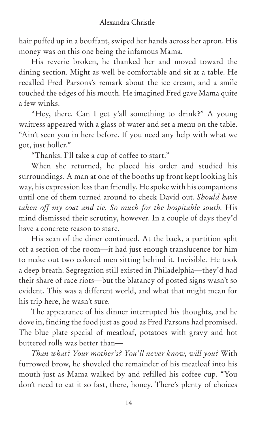hair puffed up in a bouffant, swiped her hands across her apron. His money was on this one being the infamous Mama.

His reverie broken, he thanked her and moved toward the dining section. Might as well be comfortable and sit at a table. He recalled Fred Parsons's remark about the ice cream, and a smile touched the edges of his mouth. He imagined Fred gave Mama quite a few winks.

"Hey, there. Can I get y'all something to drink?" A young waitress appeared with a glass of water and set a menu on the table. "Ain't seen you in here before. If you need any help with what we got, just holler."

"Thanks. I'll take a cup of coffee to start."

When she returned, he placed his order and studied his surroundings. A man at one of the booths up front kept looking his way, his expression less than friendly. He spoke with his companions until one of them turned around to check David out. *Should have taken off my coat and tie. So much for the hospitable south.* His mind dismissed their scrutiny, however. In a couple of days they'd have a concrete reason to stare.

His scan of the diner continued. At the back, a partition split off a section of the room—it had just enough translucence for him to make out two colored men sitting behind it. Invisible. He took a deep breath. Segregation still existed in Philadelphia—they'd had their share of race riots—but the blatancy of posted signs wasn't so evident. This was a different world, and what that might mean for his trip here, he wasn't sure.

The appearance of his dinner interrupted his thoughts, and he dove in, finding the food just as good as Fred Parsons had promised. The blue plate special of meatloaf, potatoes with gravy and hot buttered rolls was better than—

*Than what? Your mother's? You'll never know, will you?* With furrowed brow, he shoveled the remainder of his meatloaf into his mouth just as Mama walked by and refilled his coffee cup. "You don't need to eat it so fast, there, honey. There's plenty of choices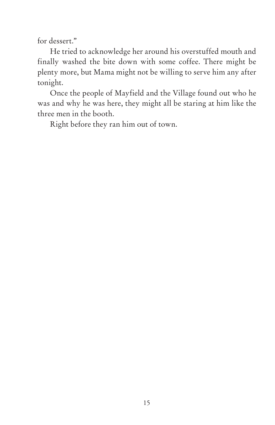for dessert."

He tried to acknowledge her around his overstuffed mouth and finally washed the bite down with some coffee. There might be plenty more, but Mama might not be willing to serve him any after tonight.

Once the people of Mayfield and the Village found out who he was and why he was here, they might all be staring at him like the three men in the booth.

Right before they ran him out of town.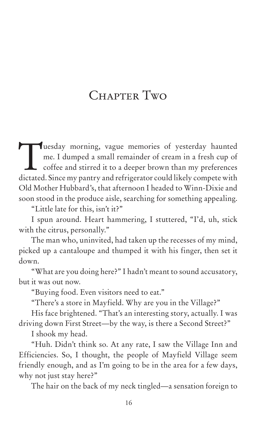# CHAPTER TWO

Tuesday morning, vague memories of yesterday haunted<br>me. I dumped a small remainder of cream in a fresh cup of<br>coffee and stirred it to a deeper brown than my preferences<br>distated Since my party and refrigerator could like me. I dumped a small remainder of cream in a fresh cup of coffee and stirred it to a deeper brown than my preferences dictated. Since my pantry and refrigerator could likely compete with Old Mother Hubbard's, that afternoon I headed to Winn-Dixie and soon stood in the produce aisle, searching for something appealing.

"Little late for this, isn't it?"

I spun around. Heart hammering, I stuttered, "I'd, uh, stick with the citrus, personally."

The man who, uninvited, had taken up the recesses of my mind, picked up a cantaloupe and thumped it with his finger, then set it down.

"What are you doing here?" I hadn't meant to sound accusatory, but it was out now.

"Buying food. Even visitors need to eat."

"There's a store in Mayfield. Why are you in the Village?"

His face brightened. "That's an interesting story, actually. I was driving down First Street—by the way, is there a Second Street?"

I shook my head.

"Huh. Didn't think so. At any rate, I saw the Village Inn and Efficiencies. So, I thought, the people of Mayfield Village seem friendly enough, and as I'm going to be in the area for a few days, why not just stay here?"

The hair on the back of my neck tingled—a sensation foreign to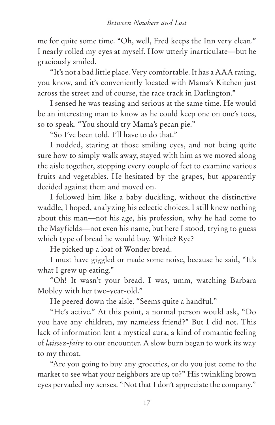me for quite some time. "Oh, well, Fred keeps the Inn very clean." I nearly rolled my eyes at myself. How utterly inarticulate—but he graciously smiled.

"It's not a bad little place. Very comfortable. It has a AAA rating, you know, and it's conveniently located with Mama's Kitchen just across the street and of course, the race track in Darlington."

I sensed he was teasing and serious at the same time. He would be an interesting man to know as he could keep one on one's toes, so to speak. "You should try Mama's pecan pie."

"So I've been told. I'll have to do that."

I nodded, staring at those smiling eyes, and not being quite sure how to simply walk away, stayed with him as we moved along the aisle together, stopping every couple of feet to examine various fruits and vegetables. He hesitated by the grapes, but apparently decided against them and moved on.

I followed him like a baby duckling, without the distinctive waddle, I hoped, analyzing his eclectic choices. I still knew nothing about this man—not his age, his profession, why he had come to the Mayfields—not even his name, but here I stood, trying to guess which type of bread he would buy. White? Rye?

He picked up a loaf of Wonder bread.

I must have giggled or made some noise, because he said, "It's what I grew up eating."

"Oh! It wasn't your bread. I was, umm, watching Barbara Mobley with her two-year-old."

He peered down the aisle. "Seems quite a handful."

"He's active." At this point, a normal person would ask, "Do you have any children, my nameless friend?" But I did not. This lack of information lent a mystical aura, a kind of romantic feeling of *laissez-faire* to our encounter. A slow burn began to work its way to my throat.

"Are you going to buy any groceries, or do you just come to the market to see what your neighbors are up to?" His twinkling brown eyes pervaded my senses. "Not that I don't appreciate the company."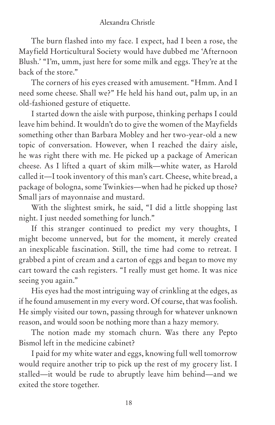The burn flashed into my face. I expect, had I been a rose, the Mayfield Horticultural Society would have dubbed me 'Afternoon Blush.' "I'm, umm, just here for some milk and eggs. They're at the back of the store."

The corners of his eyes creased with amusement. "Hmm. And I need some cheese. Shall we?" He held his hand out, palm up, in an old-fashioned gesture of etiquette.

I started down the aisle with purpose, thinking perhaps I could leave him behind. It wouldn't do to give the women of the Mayfields something other than Barbara Mobley and her two-year-old a new topic of conversation. However, when I reached the dairy aisle, he was right there with me. He picked up a package of American cheese. As I lifted a quart of skim milk—white water, as Harold called it—I took inventory of this man's cart. Cheese, white bread, a package of bologna, some Twinkies—when had he picked up those? Small jars of mayonnaise and mustard.

With the slightest smirk, he said, "I did a little shopping last night. I just needed something for lunch."

If this stranger continued to predict my very thoughts, I might become unnerved, but for the moment, it merely created an inexplicable fascination. Still, the time had come to retreat. I grabbed a pint of cream and a carton of eggs and began to move my cart toward the cash registers. "I really must get home. It was nice seeing you again."

His eyes had the most intriguing way of crinkling at the edges, as if he found amusement in my every word. Of course, that was foolish. He simply visited our town, passing through for whatever unknown reason, and would soon be nothing more than a hazy memory.

The notion made my stomach churn. Was there any Pepto Bismol left in the medicine cabinet?

I paid for my white water and eggs, knowing full well tomorrow would require another trip to pick up the rest of my grocery list. I stalled—it would be rude to abruptly leave him behind—and we exited the store together.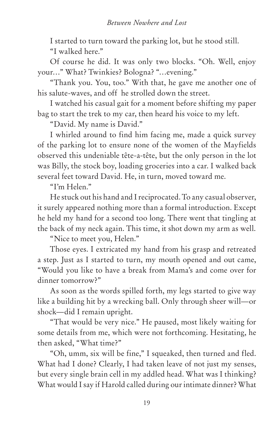I started to turn toward the parking lot, but he stood still. "I walked here."

Of course he did. It was only two blocks. "Oh. Well, enjoy your…" What? Twinkies? Bologna? "…evening."

"Thank you. You, too." With that, he gave me another one of his salute-waves, and off he strolled down the street.

I watched his casual gait for a moment before shifting my paper bag to start the trek to my car, then heard his voice to my left.

"David. My name is David."

I whirled around to find him facing me, made a quick survey of the parking lot to ensure none of the women of the Mayfields observed this undeniable tête-a-tête, but the only person in the lot was Billy, the stock boy, loading groceries into a car. I walked back several feet toward David. He, in turn, moved toward me.

"I'm Helen."

He stuck out his hand and I reciprocated. To any casual observer, it surely appeared nothing more than a formal introduction. Except he held my hand for a second too long. There went that tingling at the back of my neck again. This time, it shot down my arm as well.

"Nice to meet you, Helen."

Those eyes. I extricated my hand from his grasp and retreated a step. Just as I started to turn, my mouth opened and out came, "Would you like to have a break from Mama's and come over for dinner tomorrow?"

As soon as the words spilled forth, my legs started to give way like a building hit by a wrecking ball. Only through sheer will—or shock—did I remain upright.

"That would be very nice." He paused, most likely waiting for some details from me, which were not forthcoming. Hesitating, he then asked, "What time?"

"Oh, umm, six will be fine," I squeaked, then turned and fled. What had I done? Clearly, I had taken leave of not just my senses, but every single brain cell in my addled head. What was I thinking? What would I say if Harold called during our intimate dinner? What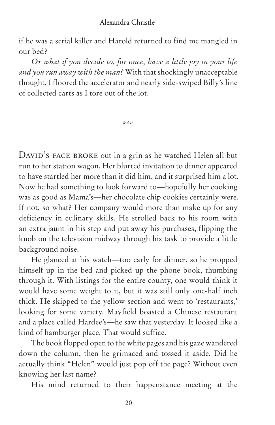if he was a serial killer and Harold returned to find me mangled in our bed?

*Or what if you decide to, for once, have a little joy in your life and you run away with the man?* With that shockingly unacceptable thought, I floored the accelerator and nearly side-swiped Billy's line of collected carts as I tore out of the lot.

\*\*\*

DAVID'S FACE BROKE out in a grin as he watched Helen all but run to her station wagon. Her blurted invitation to dinner appeared to have startled her more than it did him, and it surprised him a lot. Now he had something to look forward to—hopefully her cooking was as good as Mama's—her chocolate chip cookies certainly were. If not, so what? Her company would more than make up for any deficiency in culinary skills. He strolled back to his room with an extra jaunt in his step and put away his purchases, flipping the knob on the television midway through his task to provide a little background noise.

He glanced at his watch—too early for dinner, so he propped himself up in the bed and picked up the phone book, thumbing through it. With listings for the entire county, one would think it would have some weight to it, but it was still only one-half inch thick. He skipped to the yellow section and went to 'restaurants,' looking for some variety. Mayfield boasted a Chinese restaurant and a place called Hardee's—he saw that yesterday. It looked like a kind of hamburger place. That would suffice.

The book flopped open to the white pages and his gaze wandered down the column, then he grimaced and tossed it aside. Did he actually think "Helen" would just pop off the page? Without even knowing her last name?

His mind returned to their happenstance meeting at the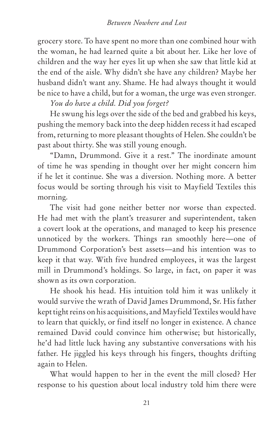grocery store. To have spent no more than one combined hour with the woman, he had learned quite a bit about her. Like her love of children and the way her eyes lit up when she saw that little kid at the end of the aisle. Why didn't she have any children? Maybe her husband didn't want any. Shame. He had always thought it would be nice to have a child, but for a woman, the urge was even stronger.

*You do have a child. Did you forget?*

He swung his legs over the side of the bed and grabbed his keys, pushing the memory back into the deep hidden recess it had escaped from, returning to more pleasant thoughts of Helen. She couldn't be past about thirty. She was still young enough.

"Damn, Drummond. Give it a rest." The inordinate amount of time he was spending in thought over her might concern him if he let it continue. She was a diversion. Nothing more. A better focus would be sorting through his visit to Mayfield Textiles this morning.

The visit had gone neither better nor worse than expected. He had met with the plant's treasurer and superintendent, taken a covert look at the operations, and managed to keep his presence unnoticed by the workers. Things ran smoothly here—one of Drummond Corporation's best assets—and his intention was to keep it that way. With five hundred employees, it was the largest mill in Drummond's holdings. So large, in fact, on paper it was shown as its own corporation.

He shook his head. His intuition told him it was unlikely it would survive the wrath of David James Drummond, Sr. His father kept tight reins on his acquisitions, and Mayfield Textiles would have to learn that quickly, or find itself no longer in existence. A chance remained David could convince him otherwise; but historically, he'd had little luck having any substantive conversations with his father. He jiggled his keys through his fingers, thoughts drifting again to Helen.

What would happen to her in the event the mill closed? Her response to his question about local industry told him there were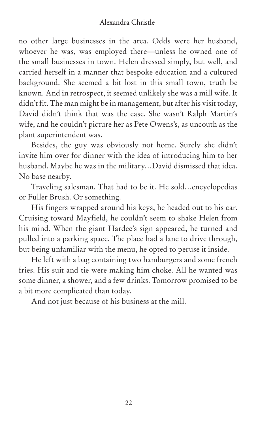no other large businesses in the area. Odds were her husband, whoever he was, was employed there—unless he owned one of the small businesses in town. Helen dressed simply, but well, and carried herself in a manner that bespoke education and a cultured background. She seemed a bit lost in this small town, truth be known. And in retrospect, it seemed unlikely she was a mill wife. It didn't fit. The man might be in management, but after his visit today, David didn't think that was the case. She wasn't Ralph Martin's wife, and he couldn't picture her as Pete Owens's, as uncouth as the plant superintendent was.

Besides, the guy was obviously not home. Surely she didn't invite him over for dinner with the idea of introducing him to her husband. Maybe he was in the military…David dismissed that idea. No base nearby.

Traveling salesman. That had to be it. He sold…encyclopedias or Fuller Brush. Or something.

His fingers wrapped around his keys, he headed out to his car. Cruising toward Mayfield, he couldn't seem to shake Helen from his mind. When the giant Hardee's sign appeared, he turned and pulled into a parking space. The place had a lane to drive through, but being unfamiliar with the menu, he opted to peruse it inside.

He left with a bag containing two hamburgers and some french fries. His suit and tie were making him choke. All he wanted was some dinner, a shower, and a few drinks. Tomorrow promised to be a bit more complicated than today.

And not just because of his business at the mill.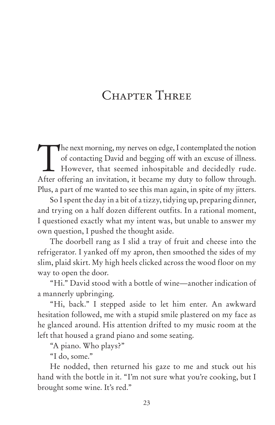# CHAPTER THREE

The next morning, my nerves on edge, I contemplated the notion of contacting David and begging off with an excuse of illness.<br>However, that seemed inhospitable and decidedly rude. of contacting David and begging off with an excuse of illness. After offering an invitation, it became my duty to follow through. Plus, a part of me wanted to see this man again, in spite of my jitters.

So I spent the day in a bit of a tizzy, tidying up, preparing dinner, and trying on a half dozen different outfits. In a rational moment, I questioned exactly what my intent was, but unable to answer my own question, I pushed the thought aside.

The doorbell rang as I slid a tray of fruit and cheese into the refrigerator. I yanked off my apron, then smoothed the sides of my slim, plaid skirt. My high heels clicked across the wood floor on my way to open the door.

"Hi." David stood with a bottle of wine—another indication of a mannerly upbringing.

"Hi, back." I stepped aside to let him enter. An awkward hesitation followed, me with a stupid smile plastered on my face as he glanced around. His attention drifted to my music room at the left that housed a grand piano and some seating.

"A piano. Who plays?"

"I do, some."

He nodded, then returned his gaze to me and stuck out his hand with the bottle in it. "I'm not sure what you're cooking, but I brought some wine. It's red."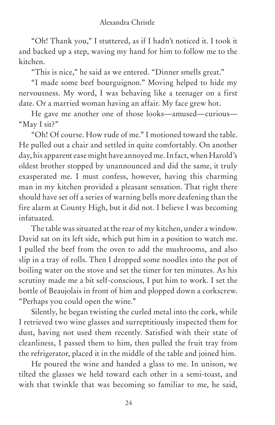"Oh! Thank you," I stuttered, as if I hadn't noticed it. I took it and backed up a step, waving my hand for him to follow me to the kitchen.

"This is nice," he said as we entered. "Dinner smells great."

"I made some beef bourguignon." Moving helped to hide my nervousness. My word, I was behaving like a teenager on a first date. Or a married woman having an affair. My face grew hot.

He gave me another one of those looks—amused—curious— "May I sit?"

"Oh! Of course. How rude of me." I motioned toward the table. He pulled out a chair and settled in quite comfortably. On another day, his apparent ease might have annoyed me. In fact, when Harold's oldest brother stopped by unannounced and did the same, it truly exasperated me. I must confess, however, having this charming man in my kitchen provided a pleasant sensation. That right there should have set off a series of warning bells more deafening than the fire alarm at County High, but it did not. I believe I was becoming infatuated.

The table was situated at the rear of my kitchen, under a window. David sat on its left side, which put him in a position to watch me. I pulled the beef from the oven to add the mushrooms, and also slip in a tray of rolls. Then I dropped some noodles into the pot of boiling water on the stove and set the timer for ten minutes. As his scrutiny made me a bit self-conscious, I put him to work. I set the bottle of Beaujolais in front of him and plopped down a corkscrew. "Perhaps you could open the wine."

Silently, he began twisting the curled metal into the cork, while I retrieved two wine glasses and surreptitiously inspected them for dust, having not used them recently. Satisfied with their state of cleanliness, I passed them to him, then pulled the fruit tray from the refrigerator, placed it in the middle of the table and joined him.

He poured the wine and handed a glass to me. In unison, we tilted the glasses we held toward each other in a semi-toast, and with that twinkle that was becoming so familiar to me, he said,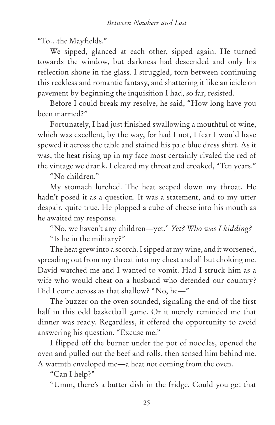"To…the Mayfields."

We sipped, glanced at each other, sipped again. He turned towards the window, but darkness had descended and only his reflection shone in the glass. I struggled, torn between continuing this reckless and romantic fantasy, and shattering it like an icicle on pavement by beginning the inquisition I had, so far, resisted.

Before I could break my resolve, he said, "How long have you been married?"

Fortunately, I had just finished swallowing a mouthful of wine, which was excellent, by the way, for had I not, I fear I would have spewed it across the table and stained his pale blue dress shirt. As it was, the heat rising up in my face most certainly rivaled the red of the vintage we drank. I cleared my throat and croaked, "Ten years."

"No children."

My stomach lurched. The heat seeped down my throat. He hadn't posed it as a question. It was a statement, and to my utter despair, quite true. He plopped a cube of cheese into his mouth as he awaited my response.

"No, we haven't any children—yet." *Yet? Who was I kidding?* "Is he in the military?"

The heat grew into a scorch. I sipped at my wine, and it worsened, spreading out from my throat into my chest and all but choking me. David watched me and I wanted to vomit. Had I struck him as a wife who would cheat on a husband who defended our country? Did I come across as that shallow? "No, he—"

The buzzer on the oven sounded, signaling the end of the first half in this odd basketball game. Or it merely reminded me that dinner was ready. Regardless, it offered the opportunity to avoid answering his question. "Excuse me."

I flipped off the burner under the pot of noodles, opened the oven and pulled out the beef and rolls, then sensed him behind me. A warmth enveloped me—a heat not coming from the oven.

"Can I help?"

"Umm, there's a butter dish in the fridge. Could you get that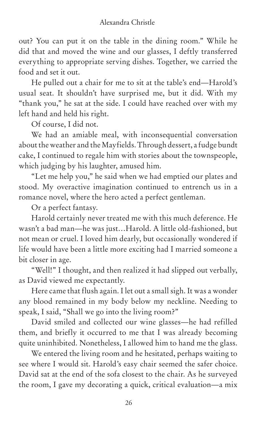out? You can put it on the table in the dining room." While he did that and moved the wine and our glasses, I deftly transferred everything to appropriate serving dishes. Together, we carried the food and set it out.

He pulled out a chair for me to sit at the table's end—Harold's usual seat. It shouldn't have surprised me, but it did. With my "thank you," he sat at the side. I could have reached over with my left hand and held his right.

Of course, I did not.

We had an amiable meal, with inconsequential conversation about the weather and the Mayfields. Through dessert, a fudge bundt cake, I continued to regale him with stories about the townspeople, which judging by his laughter, amused him.

"Let me help you," he said when we had emptied our plates and stood. My overactive imagination continued to entrench us in a romance novel, where the hero acted a perfect gentleman.

Or a perfect fantasy.

Harold certainly never treated me with this much deference. He wasn't a bad man—he was just…Harold. A little old-fashioned, but not mean or cruel. I loved him dearly, but occasionally wondered if life would have been a little more exciting had I married someone a bit closer in age.

"Well!" I thought, and then realized it had slipped out verbally, as David viewed me expectantly.

Here came that flush again. I let out a small sigh. It was a wonder any blood remained in my body below my neckline. Needing to speak, I said, "Shall we go into the living room?"

David smiled and collected our wine glasses—he had refilled them, and briefly it occurred to me that I was already becoming quite uninhibited. Nonetheless, I allowed him to hand me the glass.

We entered the living room and he hesitated, perhaps waiting to see where I would sit. Harold's easy chair seemed the safer choice. David sat at the end of the sofa closest to the chair. As he surveyed the room, I gave my decorating a quick, critical evaluation—a mix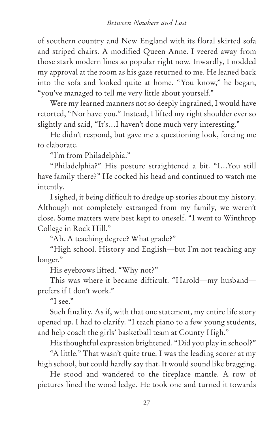of southern country and New England with its floral skirted sofa and striped chairs. A modified Queen Anne. I veered away from those stark modern lines so popular right now. Inwardly, I nodded my approval at the room as his gaze returned to me. He leaned back into the sofa and looked quite at home. "You know," he began, "you've managed to tell me very little about yourself."

Were my learned manners not so deeply ingrained, I would have retorted, "Nor have you." Instead, I lifted my right shoulder ever so slightly and said, "It's…I haven't done much very interesting."

He didn't respond, but gave me a questioning look, forcing me to elaborate.

"I'm from Philadelphia."

"Philadelphia?" His posture straightened a bit. "I…You still have family there?" He cocked his head and continued to watch me intently.

I sighed, it being difficult to dredge up stories about my history. Although not completely estranged from my family, we weren't close. Some matters were best kept to oneself. "I went to Winthrop College in Rock Hill."

"Ah. A teaching degree? What grade?"

"High school. History and English—but I'm not teaching any longer."

His eyebrows lifted. "Why not?"

This was where it became difficult. "Harold—my husband prefers if I don't work."

"I see."

Such finality. As if, with that one statement, my entire life story opened up. I had to clarify. "I teach piano to a few young students, and help coach the girls' basketball team at County High."

His thoughtful expression brightened. "Did you play in school?"

"A little." That wasn't quite true. I was the leading scorer at my high school, but could hardly say that. It would sound like bragging.

He stood and wandered to the fireplace mantle. A row of pictures lined the wood ledge. He took one and turned it towards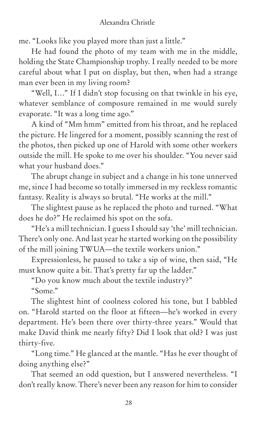me. "Looks like you played more than just a little."

He had found the photo of my team with me in the middle, holding the State Championship trophy. I really needed to be more careful about what I put on display, but then, when had a strange man ever been in my living room?

"Well, I…" If I didn't stop focusing on that twinkle in his eye, whatever semblance of composure remained in me would surely evaporate. "It was a long time ago."

A kind of "Mm hmm" emitted from his throat, and he replaced the picture. He lingered for a moment, possibly scanning the rest of the photos, then picked up one of Harold with some other workers outside the mill. He spoke to me over his shoulder. "You never said what your husband does."

The abrupt change in subject and a change in his tone unnerved me, since I had become so totally immersed in my reckless romantic fantasy. Reality is always so brutal. "He works at the mill."

The slightest pause as he replaced the photo and turned. "What does he do?" He reclaimed his spot on the sofa.

"He's a mill technician. I guess I should say 'the' mill technician. There's only one. And last year he started working on the possibility of the mill joining TWUA—the textile workers union."

Expressionless, he paused to take a sip of wine, then said, "He must know quite a bit. That's pretty far up the ladder."

"Do you know much about the textile industry?" "Some."

The slightest hint of coolness colored his tone, but I babbled on. "Harold started on the floor at fifteen—he's worked in every department. He's been there over thirty-three years." Would that make David think me nearly fifty? Did I look that old? I was just thirty-five.

"Long time." He glanced at the mantle. "Has he ever thought of doing anything else?"

That seemed an odd question, but I answered nevertheless. "I don't really know. There's never been any reason for him to consider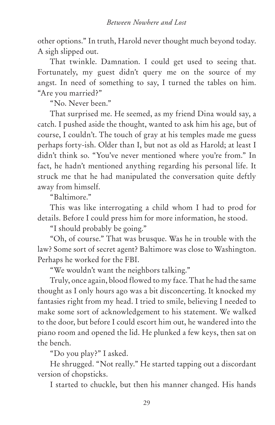other options." In truth, Harold never thought much beyond today. A sigh slipped out.

That twinkle. Damnation. I could get used to seeing that. Fortunately, my guest didn't query me on the source of my angst. In need of something to say, I turned the tables on him. "Are you married?"

"No. Never been."

That surprised me. He seemed, as my friend Dina would say, a catch. I pushed aside the thought, wanted to ask him his age, but of course, I couldn't. The touch of gray at his temples made me guess perhaps forty-ish. Older than I, but not as old as Harold; at least I didn't think so. "You've never mentioned where you're from." In fact, he hadn't mentioned anything regarding his personal life. It struck me that he had manipulated the conversation quite deftly away from himself.

"Baltimore."

This was like interrogating a child whom I had to prod for details. Before I could press him for more information, he stood.

"I should probably be going."

"Oh, of course." That was brusque. Was he in trouble with the law? Some sort of secret agent? Baltimore was close to Washington. Perhaps he worked for the FBI.

"We wouldn't want the neighbors talking."

Truly, once again, blood flowed to my face. That he had the same thought as I only hours ago was a bit disconcerting. It knocked my fantasies right from my head. I tried to smile, believing I needed to make some sort of acknowledgement to his statement. We walked to the door, but before I could escort him out, he wandered into the piano room and opened the lid. He plunked a few keys, then sat on the bench.

"Do you play?" I asked.

He shrugged. "Not really." He started tapping out a discordant version of chopsticks.

I started to chuckle, but then his manner changed. His hands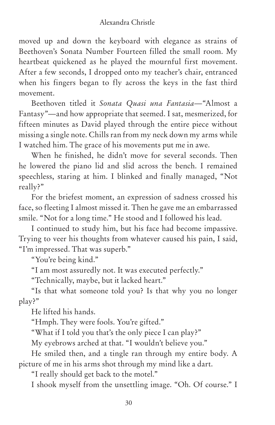moved up and down the keyboard with elegance as strains of Beethoven's Sonata Number Fourteen filled the small room. My heartbeat quickened as he played the mournful first movement. After a few seconds, I dropped onto my teacher's chair, entranced when his fingers began to fly across the keys in the fast third movement.

Beethoven titled it *Sonata Quasi una Fantasia—*"Almost a Fantasy"—and how appropriate that seemed. I sat, mesmerized, for fifteen minutes as David played through the entire piece without missing a single note. Chills ran from my neck down my arms while I watched him. The grace of his movements put me in awe.

When he finished, he didn't move for several seconds. Then he lowered the piano lid and slid across the bench. I remained speechless, staring at him. I blinked and finally managed, "Not really?"

For the briefest moment, an expression of sadness crossed his face, so fleeting I almost missed it. Then he gave me an embarrassed smile. "Not for a long time." He stood and I followed his lead.

I continued to study him, but his face had become impassive. Trying to veer his thoughts from whatever caused his pain, I said, "I'm impressed. That was superb."

"You're being kind."

"I am most assuredly not. It was executed perfectly."

"Technically, maybe, but it lacked heart."

"Is that what someone told you? Is that why you no longer play?"

He lifted his hands.

"Hmph. They were fools. You're gifted."

"What if I told you that's the only piece I can play?"

My eyebrows arched at that. "I wouldn't believe you."

He smiled then, and a tingle ran through my entire body. A picture of me in his arms shot through my mind like a dart.

"I really should get back to the motel."

I shook myself from the unsettling image. "Oh. Of course." I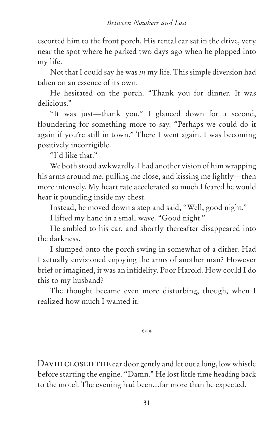escorted him to the front porch. His rental car sat in the drive, very near the spot where he parked two days ago when he plopped into my life.

Not that I could say he was *in* my life. This simple diversion had taken on an essence of its own.

He hesitated on the porch. "Thank you for dinner. It was delicious."

"It was just—thank you." I glanced down for a second, floundering for something more to say. "Perhaps we could do it again if you're still in town." There I went again. I was becoming positively incorrigible.

"I'd like that."

We both stood awkwardly. I had another vision of him wrapping his arms around me, pulling me close, and kissing me lightly—then more intensely. My heart rate accelerated so much I feared he would hear it pounding inside my chest.

Instead, he moved down a step and said, "Well, good night."

I lifted my hand in a small wave. "Good night."

He ambled to his car, and shortly thereafter disappeared into the darkness.

I slumped onto the porch swing in somewhat of a dither. Had I actually envisioned enjoying the arms of another man? However brief or imagined, it was an infidelity. Poor Harold. How could I do this to my husband?

The thought became even more disturbing, though, when I realized how much I wanted it.

\*\*\*

DAVID CLOSED THE car door gently and let out a long, low whistle before starting the engine. "Damn." He lost little time heading back to the motel. The evening had been…far more than he expected.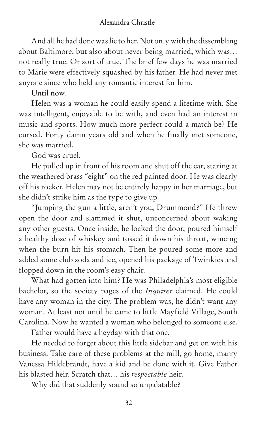And all he had done was lie to her. Not only with the dissembling about Baltimore, but also about never being married, which was… not really true. Or sort of true. The brief few days he was married to Marie were effectively squashed by his father. He had never met anyone since who held any romantic interest for him.

Until now.

Helen was a woman he could easily spend a lifetime with. She was intelligent, enjoyable to be with, and even had an interest in music and sports. How much more perfect could a match be? He cursed. Forty damn years old and when he finally met someone, she was married.

God was cruel.

He pulled up in front of his room and shut off the car, staring at the weathered brass "eight" on the red painted door. He was clearly off his rocker. Helen may not be entirely happy in her marriage, but she didn't strike him as the type to give up.

"Jumping the gun a little, aren't you, Drummond?" He threw open the door and slammed it shut, unconcerned about waking any other guests. Once inside, he locked the door, poured himself a healthy dose of whiskey and tossed it down his throat, wincing when the burn hit his stomach. Then he poured some more and added some club soda and ice, opened his package of Twinkies and flopped down in the room's easy chair.

What had gotten into him? He was Philadelphia's most eligible bachelor, so the society pages of the *Inquirer* claimed. He could have any woman in the city. The problem was, he didn't want any woman. At least not until he came to little Mayfield Village, South Carolina. Now he wanted a woman who belonged to someone else.

Father would have a heyday with that one.

He needed to forget about this little sidebar and get on with his business. Take care of these problems at the mill, go home, marry Vanessa Hildebrandt, have a kid and be done with it. Give Father his blasted heir. Scratch that… his *respectable* heir.

Why did that suddenly sound so unpalatable?